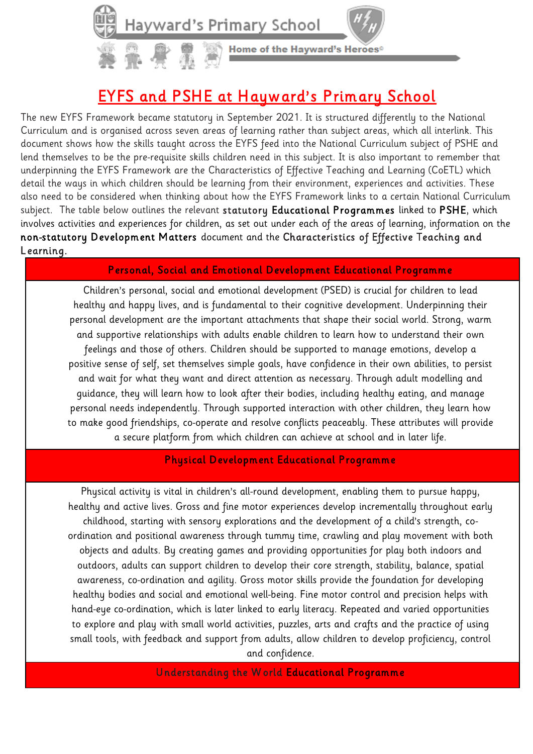

Home of the Hayward's Heroes®

# EYFS and PSHE at Hayward's Primary School

 The new EYFS Framework became statutory in September 2021. It is structured differently to the National Curriculum and is organised across seven areas of learning rather than subject areas, which all interlink. This document shows how the skills taught across the EYFS feed into the National Curriculum subject of PSHE and lend themselves to be the pre-requisite skills children need in this subject. It is also important to remember that underpinning the EYFS Framework are the Characteristics of Effective Teaching and Learning (CoETL) which detail the ways in which children should be learning from their environment, experiences and activities. These also need to be considered when thinking about how the EYFS Framework links to a certain National Curriculum subject. The table below outlines the relevant statutory Educational Programmes linked to PSHE, which involves activities and experiences for children, as set out under each of the areas of learning, information on the non-statutory Development Matters document and the Characteristics of Effective Teaching and Learning.

### Personal, Social and Emotional Development Educational Programme

Children's personal, social and emotional development (PSED) is crucial for children to lead healthy and happy lives, and is fundamental to their cognitive development. Underpinning their personal development are the important attachments that shape their social world. Strong, warm and supportive relationships with adults enable children to learn how to understand their own feelings and those of others. Children should be supported to manage emotions, develop a positive sense of self, set themselves simple goals, have confidence in their own abilities, to persist and wait for what they want and direct attention as necessary. Through adult modelling and guidance, they will learn how to look after their bodies, including healthy eating, and manage personal needs independently. Through supported interaction with other children, they learn how to make good friendships, co-operate and resolve conflicts peaceably. These attributes will provide a secure platform from which children can achieve at school and in later life.

### Physical Development Educational Programme

Physical activity is vital in children's all-round development, enabling them to pursue happy, healthy and active lives. Gross and fine motor experiences develop incrementally throughout early childhood, starting with sensory explorations and the development of a child's strength, coordination and positional awareness through tummy time, crawling and play movement with both objects and adults. By creating games and providing opportunities for play both indoors and outdoors, adults can support children to develop their core strength, stability, balance, spatial awareness, co-ordination and agility. Gross motor skills provide the foundation for developing healthy bodies and social and emotional well-being. Fine motor control and precision helps with hand-eye co-ordination, which is later linked to early literacy. Repeated and varied opportunities to explore and play with small world activities, puzzles, arts and crafts and the practice of using small tools, with feedback and support from adults, allow children to develop proficiency, control and confidence.

Understanding the W orld Educational Programme